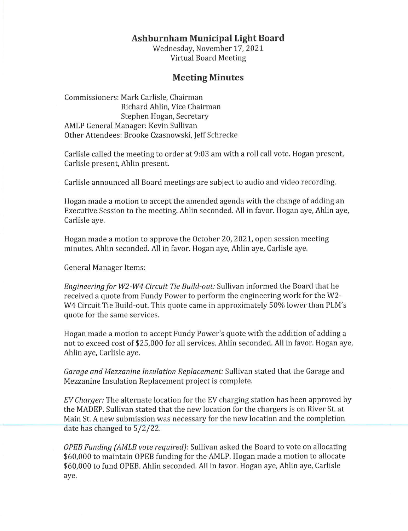## **Ashburnham Municipal Light Board**

Wednesday, November 17, 2021 Virtual Board Meeting

## **Meeting Minutes**

Commissioners: Mark Carlisle, Chairman Richard Ahlin, Vice Chairman Stephen Hogan, Secretary AMLP General Manager: Kevin Sullivan Other Attendees: Brooke Czasnowski, Jeff Schrecke

Carlisle called the meeting to order at 9:03 am with a roll call vote. Hogan present, Carlisle present, Ahlin present.

Carlisle announced all Board meetings are subject to audio and video recording.

Hogan made a motion to accept the amended agenda with the change of adding an Executive Session to the meeting. Ahlin seconded. All in favor. Hogan aye, Ahlin aye, Carlisle aye.

Hogan made a motion to approve the October 20, 2021, open session meeting minutes. Ahlin seconded. All in favor. Hogan aye, Ahlin aye, Carlisle aye.

General Manager Items:

*Engineering for W2-W4 Circuit Tie Build-out:* Sullivan informed the Board that he received a quote from Fundy Power to perform the engineering work for the W2- W4 Circuit Tie Build-out. This quote came in approximately 50% lower than PLM's quote for the same services.

Hogan made a motion to accept Fundy Power's quote with the addition of adding a not to exceed cost of \$25,000 for all services. Ahlin seconded. All in favor. Hogan aye, Ahlin aye, Carlisle aye.

*Garage and Mezzanine Insulation Replacement:* Sullivan stated that the Garage and Mezzanine Insulation Replacement project is complete.

*EV Charger:* The alternate location for the EV charging station has been approved by the MADEP. Sullivan stated that the new location for the chargers is on River St. at Main St. A new submission was necessary for the new location and the completion date has changed to 5/2/22.

*OPEB Funding {AMLB vote required):* Sullivan asked the Board to vote on allocating \$60,000 to maintain OPEB funding for the AMLP. Hogan made a motion to allocate \$60,000 to fund OPEB. Ahlin seconded. All in favor. Hogan aye, Ahlin aye, Carlisle aye.